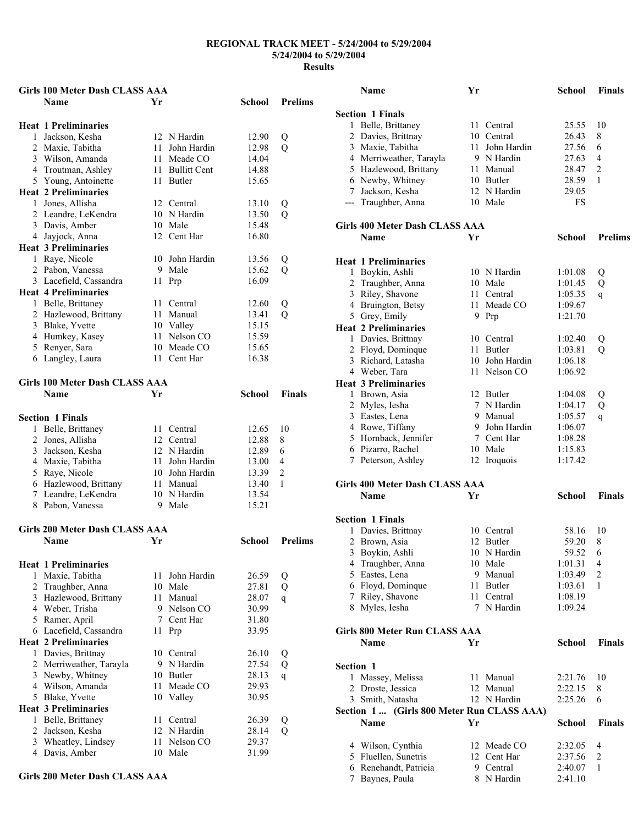| <b>Girls 100 Meter Dash CLASS AAA</b> |    |                 |        |                |
|---------------------------------------|----|-----------------|--------|----------------|
| <b>Name</b>                           | Yг |                 | School | <b>Prelims</b> |
|                                       |    |                 |        |                |
| <b>Heat 1 Preliminaries</b>           |    |                 |        |                |
| 1 Jackson, Kesha                      |    | 12 N Hardin     | 12.90  | Q              |
| 2 Maxie, Tabitha                      | 11 | John Hardin     | 12.98  | $\overline{Q}$ |
| 3 Wilson, Amanda                      |    | 11 Meade CO     | 14.04  |                |
| 4 Troutman, Ashley                    |    | 11 Bullitt Cent | 14.88  |                |
| 5 Young, Antoinette                   |    | 11 Butler       | 15.65  |                |
| <b>Heat 2 Preliminaries</b>           |    |                 |        |                |
| 1 Jones, Allisha                      |    | 12 Central      | 13.10  | Q              |
| 2 Leandre, LeKendra                   |    | 10 N Hardin     | 13.50  | Q              |
| 3 Davis, Amber                        |    | 10 Male         | 15.48  |                |
| 4 Jayjock, Anna                       |    | 12 Cent Har     | 16.80  |                |
| <b>Heat 3 Preliminaries</b>           |    |                 |        |                |
| 1 Raye, Nicole                        |    | 10 John Hardin  | 13.56  | Q              |
| 2 Pabon, Vanessa                      |    | 9 Male          | 15.62  | Q              |
| 3 Lacefield, Cassandra                | 11 | Prp             | 16.09  |                |
| <b>Heat 4 Preliminaries</b>           |    |                 |        |                |
| 1 Belle, Brittaney                    | 11 | Central         | 12.60  | Q              |
| 2 Hazlewood, Brittany                 | 11 | Manual          | 13.41  | Q              |
| 3 Blake, Yvette                       |    | 10 Valley       | 15.15  |                |
| 4 Humkey, Kasey                       |    | 11 Nelson CO    | 15.59  |                |
| 5 Renyer, Sara                        |    | 10 Meade CO     | 15.65  |                |
| 6 Langley, Laura                      |    | 11 Cent Har     | 16.38  |                |
|                                       |    |                 |        |                |
| <b>Girls 100 Meter Dash CLASS AAA</b> |    |                 |        |                |
| Name                                  | Yr |                 | School | <b>Finals</b>  |
|                                       |    |                 |        |                |
| <b>Section 1 Finals</b>               |    |                 |        |                |
| 1 Belle, Brittaney                    |    | 11 Central      | 12.65  | 10             |
| 2 Jones, Allisha                      |    | 12 Central      | 12.88  | 8              |
| 3 Jackson, Kesha                      |    | 12 N Hardin     | 12.89  | 6              |
| 4 Maxie, Tabitha                      | 11 | John Hardin     | 13.00  | 4              |
| 5 Raye, Nicole                        |    | 10 John Hardin  | 13.39  | 2              |
| 6 Hazlewood, Brittany                 |    | 11 Manual       | 13.40  | 1              |
| 7 Leandre, LeKendra                   |    | 10 N Hardin     | 13.54  |                |
| 8 Pabon, Vanessa                      |    | 9 Male          | 15.21  |                |
|                                       |    |                 |        |                |
| <b>Girls 200 Meter Dash CLASS AAA</b> |    |                 |        |                |
| Name                                  | Yr |                 | School | <b>Prelims</b> |
|                                       |    |                 |        |                |
| <b>Heat 1 Preliminaries</b>           |    |                 |        |                |
| 1 Maxie, Tabitha                      | 11 | John Hardin     | 26.59  | Q              |
| 2 Traughber, Anna                     | 10 | Male            | 27.81  | Q              |
| 3 Hazlewood, Brittany                 | 11 | Manual          | 28.07  | $\mathbf{q}$   |
| 4 Weber, Trisha                       |    | 9 Nelson CO     | 30.99  |                |
| 5 Ramer, April                        | 7  | Cent Har        | 31.80  |                |
| 6 Lacefield, Cassandra                | 11 | Prp             | 33.95  |                |
| <b>Heat 2 Preliminaries</b>           |    |                 |        |                |
| 1 Davies, Brittnay                    |    | 10 Central      | 26.10  | Q              |
| 2 Merriweather, Tarayla               | 9  | N Hardin        | 27.54  | Q              |
| 3 Newby, Whitney                      | 10 | Butler          | 28.13  |                |
| 4 Wilson, Amanda                      | 11 | Meade CO        | 29.93  | $\mathbf{q}$   |
| 5 Blake, Yvette                       | 10 | Valley          | 30.95  |                |
| <b>Heat 3 Preliminaries</b>           |    |                 |        |                |
| 1 Belle, Brittaney                    | 11 | Central         | 26.39  | Q              |
| 2 Jackson, Kesha                      |    | 12 N Hardin     | 28.14  | Q              |
| 3 Wheatley, Lindsey                   | 11 | Nelson CO       | 29.37  |                |
| 4 Davis, Amber                        | 10 | Male            | 31.99  |                |
|                                       |    |                 |        |                |

|  |  | Girls 200 Meter Dash CLASS AAA |
|--|--|--------------------------------|
|--|--|--------------------------------|

|           | Name                                       | Yr |                | <b>School</b> | <b>Finals</b>  |
|-----------|--------------------------------------------|----|----------------|---------------|----------------|
|           |                                            |    |                |               |                |
|           | <b>Section 1 Finals</b>                    |    |                |               |                |
|           | 1 Belle, Brittaney                         |    | 11 Central     | 25.55         | 10             |
|           | 2 Davies, Brittnay                         |    | 10 Central     | 26.43         | 8              |
|           | 3 Maxie, Tabitha                           | 11 | John Hardin    | 27.56         | 6              |
|           | 4 Merriweather, Tarayla                    |    | 9 N Hardin     | 27.63         | 4              |
|           | 5 Hazlewood, Brittany                      | 11 | Manual         | 28.47         | 2              |
|           | 6 Newby, Whitney                           |    | 10 Butler      | 28.59         | 1              |
|           | 7 Jackson, Kesha                           |    | 12 N Hardin    | 29.05         |                |
|           | --- Traughber, Anna                        |    | 10 Male        | FS            |                |
|           |                                            |    |                |               |                |
|           | <b>Girls 400 Meter Dash CLASS AAA</b>      |    |                |               |                |
|           | Name                                       | Yr |                | School        | <b>Prelims</b> |
|           |                                            |    |                |               |                |
|           | <b>Heat 1 Preliminaries</b>                |    |                |               |                |
|           | 1 Boykin, Ashli                            |    | 10 N Hardin    | 1:01.08       | Q              |
|           | 2 Traughber, Anna                          |    | 10 Male        | 1:01.45       | Q              |
|           | 3 Riley, Shavone                           |    | 11 Central     | 1:05.35       | $\mathbf{q}$   |
|           | 4 Bruington, Betsy                         | 11 | Meade CO       | 1:09.67       |                |
|           | 5 Grey, Emily                              | 9. | Prp            | 1:21.70       |                |
|           | <b>Heat 2 Preliminaries</b>                |    |                |               |                |
|           | 1 Davies, Brittnay                         |    | 10 Central     | 1:02.40       | Q              |
|           | 2 Floyd, Dominque                          |    | 11 Butler      | 1:03.81       | Q              |
|           | 3 Richard, Latasha                         |    | 10 John Hardin | 1:06.18       |                |
|           | 4 Weber, Tara                              |    | 11 Nelson CO   | 1:06.92       |                |
|           | <b>Heat 3 Preliminaries</b>                |    |                |               |                |
|           | 1 Brown, Asia                              |    | 12 Butler      | 1:04.08       | Q              |
|           | 2 Myles, Iesha                             | 7  | N Hardin       | 1:04.17       | Q              |
|           | 3 Eastes, Lena                             |    | 9 Manual       | 1:05.57       | q              |
|           | 4 Rowe, Tiffany                            | 9. | John Hardin    | 1:06.07       |                |
|           | 5 Hornback, Jennifer                       |    | 7 Cent Har     | 1:08.28       |                |
|           | 6 Pizarro, Rachel                          |    | 10 Male        | 1:15.83       |                |
|           | 7 Peterson, Ashley                         |    | 12 Iroquois    | 1:17.42       |                |
|           |                                            |    |                |               |                |
|           | <b>Girls 400 Meter Dash CLASS AAA</b>      |    |                |               |                |
|           | Name                                       | Yr |                | School        | <b>Finals</b>  |
|           |                                            |    |                |               |                |
|           | <b>Section 1 Finals</b>                    |    |                |               |                |
| 1         | Davies, Brittnay                           |    | 10 Central     | 58.16         | 10             |
|           | 2 Brown, Asia                              |    | 12 Butler      | 59.20         | 8              |
|           | 3 Boykin, Ashli                            |    | 10 N Hardin    | 59.52         | 6              |
|           | 4 Traughber, Anna                          |    | 10 Male        | 1:01.31       | 4              |
|           | 5 Eastes, Lena                             | 9. | Manual         | 1:03.49       | 2              |
|           | 6 Floyd, Dominque                          | 11 | Butler         | 1:03.61       | 1              |
|           | 7 Riley, Shavone                           |    | 11 Central     | 1:08.19       |                |
|           | 8 Myles, Iesha                             |    | 7 N Hardin     | 1:09.24       |                |
|           | <b>Girls 800 Meter Run CLASS AAA</b>       |    |                |               |                |
|           |                                            |    |                |               |                |
|           | Name                                       | Yr |                | School        | <b>Finals</b>  |
|           |                                            |    |                |               |                |
| Section 1 |                                            |    |                |               |                |
|           | 1 Massey, Melissa                          |    | 11 Manual      | 2:21.76       | 10             |
|           | 2 Droste, Jessica                          |    | 12 Manual      | 2:22.15       | 8              |
|           | 3 Smith, Natasha                           |    | 12 N Hardin    | 2:25.26       | 6              |
|           | Section 1  (Girls 800 Meter Run CLASS AAA) |    |                |               |                |
|           | <b>Name</b>                                | Yr |                | School        | <b>Finals</b>  |
|           |                                            |    |                |               |                |
|           | 4 Wilson, Cynthia                          |    | 12 Meade CO    | 2:32.05       | 4              |
|           | 5 Fluellen, Sunetris                       |    | 12 Cent Har    | 2:37.56       | 2              |
|           | 6 Renehandt, Patricia                      |    | 9 Central      | 2:40.07       | 1              |
|           | 7 Baynes, Paula                            |    | 8 N Hardin     | 2:41.10       |                |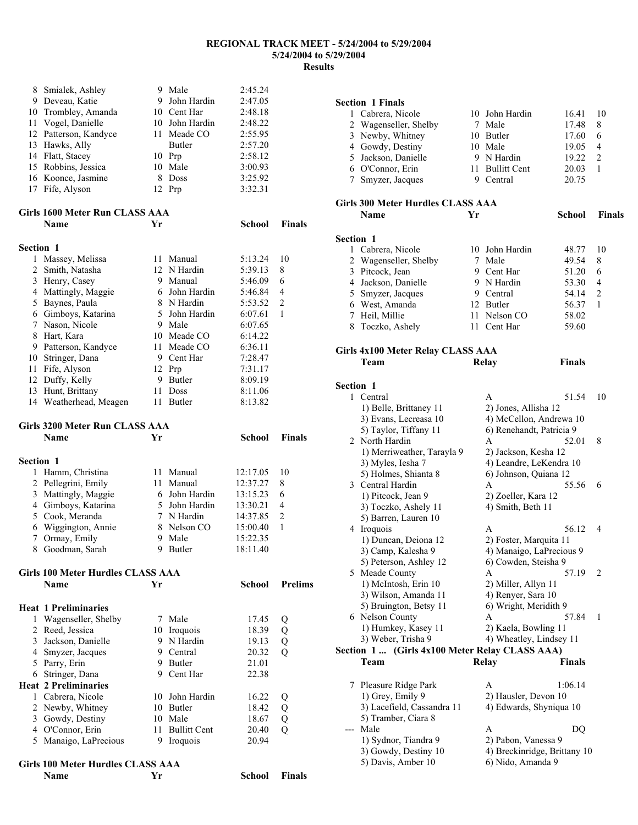|                  | Name                                  | Yr  |                      | School             | Finals         |
|------------------|---------------------------------------|-----|----------------------|--------------------|----------------|
|                  | Girls 100 Meter Hurdles CLASS AAA     |     |                      |                    |                |
|                  |                                       |     |                      |                    |                |
|                  | 5 Manaigo, LaPrecious                 |     | 9 Iroquois           | 20.94              |                |
|                  | 3 Gowdy, Destiny<br>4 O'Connor, Erin  |     | 11 Bullitt Cent      | 18.67<br>20.40     | Q<br>Q         |
|                  | 2 Newby, Whitney                      |     | 10 Butler<br>10 Male | 18.42              | Q              |
|                  | 1 Cabrera, Nicole                     |     | 10 John Hardin       | 16.22              | Q              |
|                  | <b>Heat 2 Preliminaries</b>           |     |                      |                    |                |
|                  | 6 Stringer, Dana                      |     | 9 Cent Har           | 22.38              |                |
|                  | 5 Parry, Erin                         |     | 9 Butler             | 21.01              |                |
|                  | 4 Smyzer, Jacques                     |     | 9 Central            | 20.32              | $\overline{Q}$ |
| 3                | Jackson, Danielle                     |     | 9 N Hardin           | 19.13              | Q              |
| $\overline{2}$   | Reed, Jessica                         |     | 10 Iroquois          | 18.39              | Q              |
| 1                | Wagenseller, Shelby                   |     | 7 Male               | 17.45              | Q              |
|                  | <b>Heat 1 Preliminaries</b>           |     |                      |                    |                |
|                  |                                       |     |                      |                    |                |
|                  | <b>Name</b>                           | Yr  |                      | School             | <b>Prelims</b> |
|                  | Girls 100 Meter Hurdles CLASS AAA     |     |                      |                    |                |
|                  |                                       |     |                      |                    |                |
|                  | 8 Goodman, Sarah                      |     | 9 Butler             | 18:11.40           |                |
|                  | 7 Ormay, Emily                        |     | 9 Male               | 15:22.35           |                |
| 6                | Wiggington, Annie                     |     | 8 Nelson CO          | 15:00.40           | 1              |
|                  | 5 Cook, Meranda                       |     | 7 N Hardin           | 14:37.85           | $\overline{2}$ |
|                  | 4 Gimboys, Katarina                   |     | 5 John Hardin        | 13:30.21           | 4              |
| 3                | Mattingly, Maggie                     |     | 6 John Hardin        | 13:15.23           | 6              |
|                  | 2 Pellegrini, Emily                   |     | 11 Manual            | 12:37.27           | 8              |
| 1                | Hamm, Christina                       | 11  | Manual               | 12:17.05           | 10             |
| Section 1        |                                       |     |                      |                    |                |
|                  | Name                                  | Yr  |                      |                    | <b>Finals</b>  |
|                  | Girls 3200 Meter Run CLASS AAA        |     |                      | <b>School</b>      |                |
|                  |                                       |     |                      |                    |                |
|                  | 14 Weatherhead, Meagen                | 11  | Butler               | 8:13.82            |                |
| 13               | Hunt, Brittany                        | 11  | <b>Doss</b>          | 8:11.06            |                |
|                  | 12 Duffy, Kelly                       |     | 9 Butler             | 8:09.19            |                |
| 11               | Fife, Alyson                          |     | 12 Prp               | 7:31.17            |                |
|                  | 10 Stringer, Dana                     |     | 9 Cent Har           | 7:28.47            |                |
|                  | 9 Patterson, Kandyce                  | 11- | Meade CO             | 6:36.11            |                |
| 8                | Hart, Kara                            |     | 10 Meade CO          | 6:14.22            |                |
| $7\phantom{.0}$  | Nason, Nicole                         |     | 9 Male               | 6:07.65            |                |
|                  | 6 Gimboys, Katarina                   |     | 5 John Hardin        | 6:07.61            | 1              |
| 5                | Baynes, Paula                         |     | 8 N Hardin           | 5:53.52            | 2              |
|                  | 4 Mattingly, Maggie                   |     | 6 John Hardin        | 5:46.84            | 4              |
|                  | 3 Henry, Casey                        |     | 9 Manual             | 5:46.09            | 6              |
|                  | 2 Smith, Natasha                      |     | 12 N Hardin          | 5:39.13            | 8              |
| 1                | Massey, Melissa                       |     | 11 Manual            | 5:13.24            | 10             |
| <b>Section 1</b> |                                       |     |                      |                    |                |
|                  |                                       |     |                      |                    |                |
|                  | <b>Name</b>                           | Yr  |                      | <b>School</b>      | Finals         |
|                  | Girls 1600 Meter Run CLASS AAA        |     |                      |                    |                |
|                  |                                       |     |                      |                    |                |
|                  | 16 Koonce, Jasmine<br>17 Fife, Alyson | 8   | Doss<br>12 Prp       | 3:25.92<br>3:32.31 |                |
|                  | 15 Robbins, Jessica                   |     | 10 Male              | 3:00.93            |                |
|                  | 14 Flatt, Stacey                      |     | 10 Prp               | 2:58.12            |                |
|                  | 13 Hawks, Ally                        |     | Butler               | 2:57.20            |                |
|                  | 12 Patterson, Kandyce                 |     | 11 Meade CO          | 2:55.95            |                |
| 11               | Vogel, Danielle                       |     | 10 John Hardin       | 2:48.22            |                |
|                  | 10 Trombley, Amanda                   |     | 10 Cent Har          | 2:48.18            |                |
|                  | 9 Deveau, Katie                       |     | 9 John Hardin        | 2:47.05            |                |
| 8                | Smialek, Ashley                       |     | 9 Male               | 2:45.24            |                |
|                  |                                       |     |                      |                    |                |

### **Section 1 Finals**  1 Cabrera, Nicole 10 John Hardin 16.41 10 2 Wagenseller, Shelby 7 Male 17.48 8 3 Newby, Whitney 10 Butler 17.60 6 4 Gowdy, Destiny 10 Male 19.05 4 5 Jackson, Danielle 9 N Hardin 19.22 2 6 O'Connor, Erin 11 Bullitt Cent 20.03 1 7 Smyzer, Jacques 9 Central 20.75 **Girls 300 Meter Hurdles CLASS AAA Name Yr School Finals Section 1**  1 Cabrera, Nicole 10 John Hardin 48.77 10 2 Wagenseller, Shelby 7 Male 49.54 8 3 Pitcock, Jean 9 Cent Har 51.20 6 4 Jackson, Danielle 9 N Hardin 53.30 4 5 Smyzer, Jacques 9 Central 54.14 2 6 West, Amanda 12 Butler 56.37 1 7 Heil, Millie 11 Nelson CO 58.02 8 Toczko, Ashely 11 Cent Har 59.60 **Girls 4x100 Meter Relay CLASS AAA Team Relay Finals Section 1**  1 Central A 51.54 10<br>1) Belle. Brittanev 11 2) Jones. Allisha 12 1) Belle, Brittaney 11<br>3) Evans, Lecreasa 10 3) Evans, Lecreasa 10 4) McCellon, Andrewa 10<br>5) Taylor, Tiffany 11 6) Renehandt, Patricia 9 6) Renehandt, Patricia 9 2 North Hardin A 52.01 8 1) Merriweather, Tarayla 9 2) Jackson, Kesha 12 3) Myles, Iesha 7 4) Leandre, LeKendra 10 5) Holmes, Shianta 8 6) Johnson, Quiana 12 3 Central Hardin A 55.56 6 1) Pitcock, Jean 9 2) Zoeller, Kara 12 3) Toczko, Ashely 11 4) Smith, Beth 11 5) Barren, Lauren 10 4 Iroquois A 56.12 4 1) Duncan, Deiona 12 2) Foster, Marquita 11 3) Camp, Kalesha 9 4) Manaigo, LaPrecious 9<br>5) Peterson, Ashley 12 6) Cowden, Steisha 9 5) Peterson, Ashley 12 5 Meade County A 57.19 2 1) McIntosh, Erin 10 2) Miller, Allyn 11<br>3) Wilson, Amanda 11 4) Renyer, Sara 10 3) Wilson, Amanda 11 5) Bruington, Betsy 11 6) Wright, Meridith 9 6 Nelson County A 57.84 1 1) Humkey, Kasey 11 2) Kaela, Bowling 11 3) Weber, Trisha 9 4) Wheatley, Lindsey 11 **Section 1 ... (Girls 4x100 Meter Relay CLASS AAA) Team Relay Finals**  7 Pleasure Ridge Park A 1:06.14 1) Grey, Emily 9 2) Hausler, Devon 10 3) Lacefield, Cassandra 11 4) Edwards, Shyniqua 10 5) Tramber, Ciara 8 -- Male A DO 1) Sydnor, Tiandra 9 2) Pabon, Vanessa 9

3) Gowdy, Destiny 10 4) Breckinridge, Brittany 10 5) Davis, Amber 10 6) Nido, Amanda 9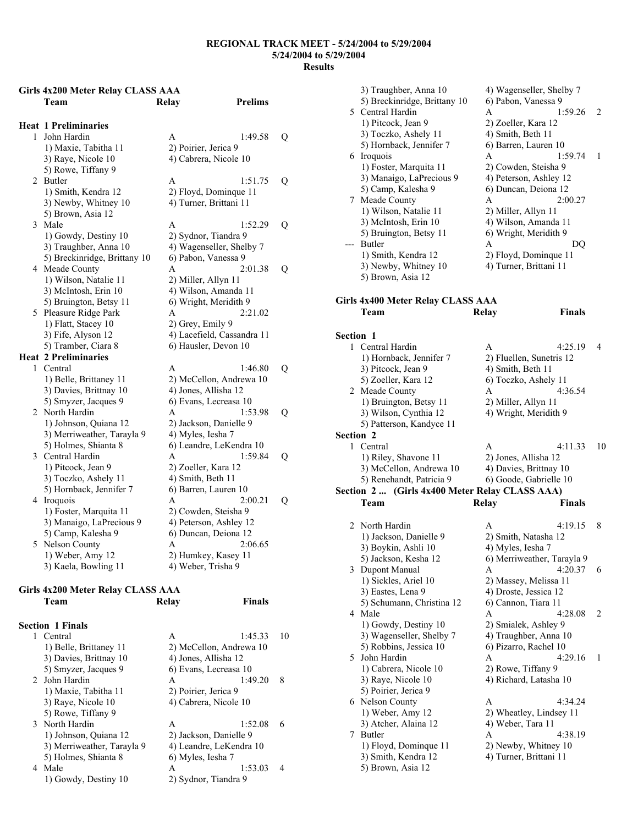# **Girls 4x200 Meter Relay CLASS AAA Team Relay Prelims**

|   | <b>Heat 1 Preliminaries</b>  |                            |   |
|---|------------------------------|----------------------------|---|
| 1 | John Hardin                  | 1:49.58<br>A               | Q |
|   | 1) Maxie, Tabitha 11         | 2) Poirier, Jerica 9       |   |
|   | 3) Raye, Nicole 10           | 4) Cabrera, Nicole 10      |   |
|   | 5) Rowe, Tiffany 9           |                            |   |
| 2 | Butler                       | 1:51.75<br>A               | Q |
|   | 1) Smith, Kendra 12          | 2) Floyd, Dominque 11      |   |
|   | 3) Newby, Whitney 10         | 4) Turner, Brittani 11     |   |
|   | 5) Brown, Asia 12            |                            |   |
| 3 | Male                         | 1:52.29<br>A               | Q |
|   | 1) Gowdy, Destiny 10         | 2) Sydnor, Tiandra 9       |   |
|   | 3) Traughber, Anna 10        | 4) Wagenseller, Shelby 7   |   |
|   | 5) Breckinridge, Brittany 10 | 6) Pabon, Vanessa 9        |   |
| 4 | Meade County                 | A<br>2:01.38               | Q |
|   | 1) Wilson, Natalie 11        | 2) Miller, Allyn 11        |   |
|   | 3) McIntosh, Erin 10         | 4) Wilson, Amanda 11       |   |
|   | 5) Bruington, Betsy 11       | 6) Wright, Meridith 9      |   |
| 5 | Pleasure Ridge Park          | 2:21.02<br>A               |   |
|   | 1) Flatt, Stacey 10          | 2) Grey, Emily 9           |   |
|   | 3) Fife, Alyson 12           | 4) Lacefield, Cassandra 11 |   |
|   | 5) Tramber, Ciara 8          | 6) Hausler, Devon 10       |   |
|   | <b>Heat 2 Preliminaries</b>  |                            |   |
| 1 | Central                      | 1:46.80<br>A               | Q |
|   | 1) Belle, Brittaney 11       | 2) McCellon, Andrewa 10    |   |
|   | 3) Davies, Brittnay 10       | 4) Jones, Allisha 12       |   |
|   | 5) Smyzer, Jacques 9         | 6) Evans, Lecreasa 10      |   |
| 2 | North Hardin                 | A<br>1:53.98               | Q |
|   | 1) Johnson, Quiana 12        | 2) Jackson, Danielle 9     |   |
|   | 3) Merriweather, Tarayla 9   | 4) Myles, Iesha 7          |   |
|   | 5) Holmes, Shianta 8         | 6) Leandre, LeKendra 10    |   |
| 3 | Central Hardin               | 1:59.84<br>A               | Q |
|   | 1) Pitcock, Jean 9           | 2) Zoeller, Kara 12        |   |
|   | 3) Toczko, Ashely 11         | 4) Smith, Beth 11          |   |
|   | 5) Hornback, Jennifer 7      | 6) Barren, Lauren 10       |   |
| 4 | Iroquois                     | 2:00.21<br>A               | Q |
|   | 1) Foster, Marquita 11       | 2) Cowden, Steisha 9       |   |
|   | 3) Manaigo, LaPrecious 9     | 4) Peterson, Ashley 12     |   |
|   | 5) Camp, Kalesha 9           | 6) Duncan, Deiona 12       |   |
| 5 | Nelson County                | 2:06.65<br>A               |   |
|   | 1) Weber, Amy 12             | 2) Humkey, Kasey 11        |   |
|   | 3) Kaela, Bowling 11         | 4) Weber, Trisha 9         |   |

#### **Girls 4x200 Meter Relay CLASS AAA Team Relay Finals**

| <b>Section 1 Finals</b>    |                         |         |    |
|----------------------------|-------------------------|---------|----|
| 1 Central                  | A                       | 1:45.33 | 10 |
| 1) Belle, Brittaney 11     | 2) McCellon, Andrewa 10 |         |    |
| 3) Davies, Brittnay 10     | 4) Jones, Allisha 12    |         |    |
| 5) Smyzer, Jacques 9       | 6) Evans, Lecreasa 10   |         |    |
| 2 John Hardin              | A                       | 1:49.20 | 8  |
| 1) Maxie, Tabitha 11       | 2) Poirier, Jerica 9    |         |    |
| 3) Raye, Nicole 10         | 4) Cabrera, Nicole 10   |         |    |
| 5) Rowe, Tiffany 9         |                         |         |    |
| 3 North Hardin             | A                       | 1:52.08 | 6  |
| 1) Johnson, Quiana 12      | 2) Jackson, Danielle 9  |         |    |
| 3) Merriweather, Tarayla 9 | 4) Leandre, LeKendra 10 |         |    |
| 5) Holmes, Shianta 8       | 6) Myles, Iesha 7       |         |    |
| 4 Male                     | A                       | 1:53.03 | 4  |
| 1) Gowdy, Destiny 10       | 2) Sydnor, Tiandra 9    |         |    |

|           | 3) Traughber, Anna 10                          | 4) Wagenseller, Shelby 7                   |    |
|-----------|------------------------------------------------|--------------------------------------------|----|
|           | 5) Breckinridge, Brittany 10                   | 6) Pabon, Vanessa 9                        |    |
|           | 5 Central Hardin                               | A<br>1:59.26                               | 2  |
|           | 1) Pitcock, Jean 9                             | 2) Zoeller, Kara 12                        |    |
|           | 3) Toczko, Ashely 11                           | 4) Smith, Beth 11                          |    |
|           | 5) Hornback, Jennifer 7                        | 6) Barren, Lauren 10                       |    |
|           | 6 Iroquois                                     | 1:59.74<br>A                               | 1  |
|           | 1) Foster, Marquita 11                         | 2) Cowden, Steisha 9                       |    |
|           | 3) Manaigo, LaPrecious 9                       | 4) Peterson, Ashley 12                     |    |
|           | 5) Camp, Kalesha 9                             | 6) Duncan, Deiona 12                       |    |
|           | 7 Meade County                                 | A<br>2:00.27                               |    |
|           | 1) Wilson, Natalie 11                          | 2) Miller, Allyn 11                        |    |
|           | 3) McIntosh, Erin 10                           | 4) Wilson, Amanda 11                       |    |
|           | 5) Bruington, Betsy 11                         | 6) Wright, Meridith 9                      |    |
|           | Butler                                         | A<br>DQ                                    |    |
|           | 1) Smith, Kendra 12                            | 2) Floyd, Dominque 11                      |    |
|           | 3) Newby, Whitney 10                           | 4) Turner, Brittani 11                     |    |
|           | 5) Brown, Asia 12                              |                                            |    |
|           |                                                |                                            |    |
|           | Girls 4x400 Meter Relay CLASS AAA              |                                            |    |
|           | Team                                           | <b>Finals</b><br><b>Relay</b>              |    |
|           |                                                |                                            |    |
| Section 1 |                                                |                                            |    |
| 1.        | Central Hardin                                 | 4:25.19<br>A                               | 4  |
|           | 1) Hornback, Jennifer 7                        | 2) Fluellen, Sunetris 12                   |    |
|           | 3) Pitcock, Jean 9                             | 4) Smith, Beth 11                          |    |
|           | 5) Zoeller, Kara 12                            | 6) Toczko, Ashely 11                       |    |
|           | 2 Meade County                                 | 4:36.54<br>A                               |    |
|           | 1) Bruington, Betsy 11                         | 2) Miller, Allyn 11                        |    |
|           | 3) Wilson, Cynthia 12                          | 4) Wright, Meridith 9                      |    |
|           | 5) Patterson, Kandyce 11                       |                                            |    |
| Section 2 |                                                |                                            |    |
|           | Central                                        |                                            |    |
| 1         |                                                | 4:11.33<br>A                               | 10 |
|           | 1) Riley, Shavone 11                           | 2) Jones, Allisha 12                       |    |
|           | 3) McCellon, Andrewa 10                        | 4) Davies, Brittnay 10                     |    |
|           | 5) Renehandt, Patricia 9                       | 6) Goode, Gabrielle 10                     |    |
|           | Section 2  (Girls 4x400 Meter Relay CLASS AAA) |                                            |    |
|           | Team                                           | <b>Relay</b><br>Finals                     |    |
|           |                                                | A                                          |    |
|           | 2 North Hardin                                 | 4:19.15                                    | 8  |
|           | 1) Jackson, Danielle 9                         | 2) Smith, Natasha 12                       |    |
|           | 3) Boykin, Ashli 10<br>5) Jackson, Kesha 12    | 4) Myles, Iesha 7                          |    |
| 3         | Dupont Manual                                  | 6) Merriweather, Tarayla 9<br>4:20.37<br>A | 6  |
|           | 1) Sickles, Ariel 10                           | 2) Massey, Melissa 11                      |    |
|           | 3) Eastes, Lena 9                              | 4) Droste, Jessica 12                      |    |
|           | 5) Schumann, Christina 12                      | 6) Cannon, Tiara 11                        |    |
| 4         | Male                                           | 4:28.08<br>A                               | 2  |
|           | 1) Gowdy, Destiny 10                           | 2) Smialek, Ashley 9                       |    |
|           | 3) Wagenseller, Shelby 7                       | 4) Traughber, Anna 10                      |    |
|           | 5) Robbins, Jessica 10                         | 6) Pizarro, Rachel 10                      |    |
| 5         | John Hardin                                    | A<br>4:29.16                               | 1  |
|           | 1) Cabrera, Nicole 10                          | 2) Rowe, Tiffany 9                         |    |
|           | 3) Raye, Nicole 10                             | 4) Richard, Latasha 10                     |    |
|           | 5) Poirier, Jerica 9                           |                                            |    |
|           | 6 Nelson County                                | 4:34.24<br>A                               |    |
|           | 1) Weber, Amy 12                               | 2) Wheatley, Lindsey 11                    |    |
|           | 3) Atcher, Alaina 12                           | 4) Weber, Tara 11                          |    |
| 7         | Butler                                         | A<br>4:38.19                               |    |
|           | 1) Floyd, Dominque 11                          | 2) Newby, Whitney 10                       |    |
|           | 3) Smith, Kendra 12<br>5) Brown, Asia 12       | 4) Turner, Brittani 11                     |    |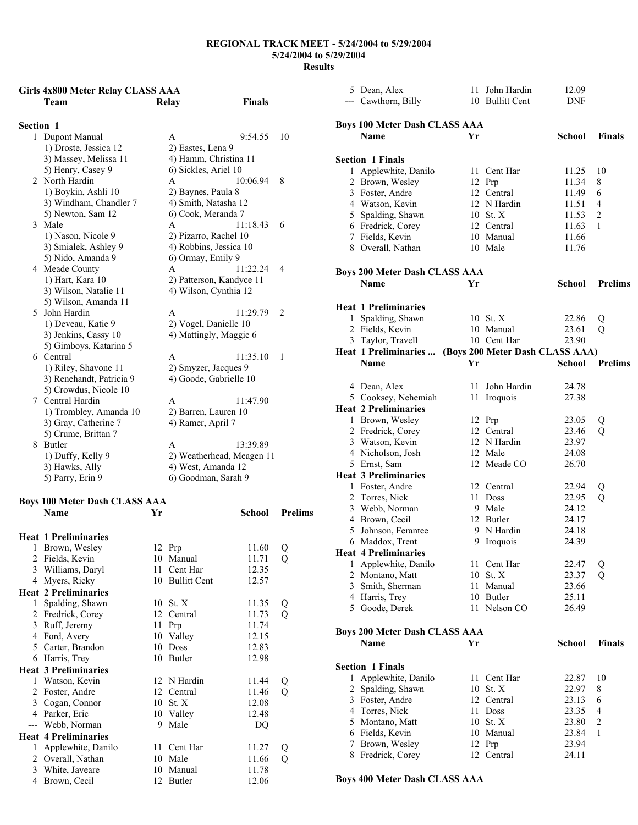## **Girls 4x800 Meter Relay CLASS AAA Team Relay Finals**

| <b>Section 1</b> |                          |                           |          |                |
|------------------|--------------------------|---------------------------|----------|----------------|
|                  | 1 Dupont Manual          | A                         | 9:54.55  | 10             |
|                  | 1) Droste, Jessica 12    | 2) Eastes, Lena 9         |          |                |
|                  | 3) Massey, Melissa 11    | 4) Hamm, Christina 11     |          |                |
|                  | 5) Henry, Casey 9        | 6) Sickles, Ariel 10      |          |                |
|                  | 2 North Hardin           | A                         | 10:06.94 | 8              |
|                  | 1) Boykin, Ashli 10      | 2) Baynes, Paula 8        |          |                |
|                  | 3) Windham, Chandler 7   | 4) Smith, Natasha 12      |          |                |
|                  | 5) Newton, Sam 12        | 6) Cook, Meranda 7        |          |                |
|                  | 3 Male                   | A                         | 11:18.43 | 6              |
|                  | 1) Nason, Nicole 9       | 2) Pizarro, Rachel 10     |          |                |
|                  | 3) Smialek, Ashley 9     | 4) Robbins, Jessica 10    |          |                |
|                  | 5) Nido, Amanda 9        | 6) Ormay, Emily 9         |          |                |
|                  | 4 Meade County           | $\mathsf{A}$              | 11:22.24 | $\overline{4}$ |
|                  | 1) Hart, Kara 10         | 2) Patterson, Kandyce 11  |          |                |
|                  | 3) Wilson, Natalie 11    | 4) Wilson, Cynthia 12     |          |                |
|                  | 5) Wilson, Amanda 11     |                           |          |                |
|                  | 5 John Hardin            | A                         | 11:29.79 | $\overline{2}$ |
|                  | 1) Deveau, Katie 9       | 2) Vogel, Danielle 10     |          |                |
|                  | 3) Jenkins, Cassy 10     | 4) Mattingly, Maggie 6    |          |                |
|                  | 5) Gimboys, Katarina 5   |                           |          |                |
|                  | 6 Central                | A                         | 11:35.10 | 1              |
|                  | 1) Riley, Shavone 11     | 2) Smyzer, Jacques 9      |          |                |
|                  | 3) Renehandt, Patricia 9 | 4) Goode, Gabrielle 10    |          |                |
|                  | 5) Crowdus, Nicole 10    |                           |          |                |
|                  | 7 Central Hardin         | A                         | 11:47.90 |                |
|                  | 1) Trombley, Amanda 10   | 2) Barren, Lauren 10      |          |                |
|                  | 3) Gray, Catherine 7     | 4) Ramer, April 7         |          |                |
|                  | 5) Crume, Brittan 7      |                           |          |                |
| 8                | Butler                   | A                         | 13:39.89 |                |
|                  | 1) Duffy, Kelly 9        | 2) Weatherhead, Meagen 11 |          |                |
|                  | 3) Hawks, Ally           | 4) West, Amanda 12        |          |                |
|                  | 5) Parry, Erin 9         | 6) Goodman, Sarah 9       |          |                |

# **Boys 100 Meter Dash CLASS AAA**

|              | <b>Boys 100 Meter Dash CLASS AAA</b> |    |                 |        |                |
|--------------|--------------------------------------|----|-----------------|--------|----------------|
|              | Name                                 | Yr |                 | School | <b>Prelims</b> |
|              | <b>Heat 1 Preliminaries</b>          |    |                 |        |                |
| $\mathbf{1}$ | Brown, Wesley                        |    | 12 Prp          | 11.60  | Q              |
|              | 2 Fields, Kevin                      |    | 10 Manual       | 11.71  | Q              |
|              | 3 Williams, Daryl                    |    | 11 Cent Har     | 12.35  |                |
|              | 4 Myers, Ricky                       |    | 10 Bullitt Cent | 12.57  |                |
|              | <b>Heat 2 Preliminaries</b>          |    |                 |        |                |
| $\mathbf{1}$ | Spalding, Shawn                      |    | 10 St. X        | 11.35  | Q              |
|              | 2 Fredrick, Corey                    |    | 12 Central      | 11.73  | Q              |
|              | 3 Ruff, Jeremy                       |    | 11 Prp          | 11.74  |                |
| 4            | Ford, Avery                          |    | 10 Valley       | 12.15  |                |
|              | 5 Carter, Brandon                    |    | 10 Doss         | 12.83  |                |
|              | 6 Harris, Trey                       |    | 10 Butler       | 12.98  |                |
|              | <b>Heat 3 Preliminaries</b>          |    |                 |        |                |
|              | 1 Watson, Kevin                      |    | 12 N Hardin     | 11.44  | Q              |
|              | 2 Foster, Andre                      |    | 12 Central      | 11.46  | Q              |
|              | 3 Cogan, Connor                      |    | 10 St. X        | 12.08  |                |
| 4            | Parker, Eric                         |    | 10 Valley       | 12.48  |                |
|              | --- Webb, Norman                     | 9  | Male            | DQ     |                |
|              | <b>Heat 4 Preliminaries</b>          |    |                 |        |                |
| 1            | Applewhite, Danilo                   |    | 11 Cent Har     | 11.27  | Q              |
|              | 2 Overall, Nathan                    |    | 10 Male         | 11.66  | Q              |
|              | 3 White, Javeare                     |    | 10 Manual       | 11.78  |                |
| 4            | Brown, Cecil                         |    | 12 Butler       | 12.06  |                |
|              |                                      |    |                 |        |                |

|                | 5 Dean, Alex                         |      | 11 John Hardin                  | 12.09         |                |
|----------------|--------------------------------------|------|---------------------------------|---------------|----------------|
|                | --- Cawthorn, Billy                  |      | 10 Bullitt Cent                 | DNF           |                |
|                |                                      |      |                                 |               |                |
|                |                                      |      |                                 |               |                |
|                | <b>Boys 100 Meter Dash CLASS AAA</b> |      |                                 |               |                |
|                | <b>Name</b>                          | Yr   |                                 | School        | <b>Finals</b>  |
|                |                                      |      |                                 |               |                |
|                | <b>Section 1 Finals</b>              |      |                                 |               |                |
|                | 1 Applewhite, Danilo                 | 11 - | Cent Har                        | 11.25         | 10             |
|                | 2 Brown, Wesley                      |      | 12 Prp                          | 11.34         | 8              |
|                |                                      |      |                                 |               |                |
|                | 3 Foster, Andre                      |      | 12 Central                      | 11.49         | 6              |
|                | 4 Watson, Kevin                      |      | 12 N Hardin                     | 11.51         | 4              |
|                | 5 Spalding, Shawn                    |      | 10 St. X                        | 11.53         | 2              |
|                | 6 Fredrick, Corey                    |      | 12 Central                      | 11.63         | 1              |
|                | 7 Fields, Kevin                      |      | 10 Manual                       | 11.66         |                |
|                | 8 Overall, Nathan                    |      | 10 Male                         | 11.76         |                |
|                |                                      |      |                                 |               |                |
|                |                                      |      |                                 |               |                |
|                | <b>Boys 200 Meter Dash CLASS AAA</b> |      |                                 |               |                |
|                | Name                                 | Yr   |                                 | School        | <b>Prelims</b> |
|                |                                      |      |                                 |               |                |
|                | <b>Heat 1 Preliminaries</b>          |      |                                 |               |                |
|                | 1 Spalding, Shawn                    |      | 10 St. X                        | 22.86         | Q              |
|                |                                      |      |                                 |               |                |
|                | 2 Fields, Kevin                      |      | 10 Manual                       | 23.61         | Q              |
|                | 3 Taylor, Travell                    |      | 10 Cent Har                     | 23.90         |                |
|                | Heat 1 Preliminaries                 |      | (Boys 200 Meter Dash CLASS AAA) |               |                |
|                | Name                                 | Yr   |                                 | School        | <b>Prelims</b> |
|                |                                      |      |                                 |               |                |
|                | 4 Dean, Alex                         |      | 11 John Hardin                  | 24.78         |                |
|                | 5 Cooksey, Nehemiah                  |      | 11 Iroquois                     | 27.38         |                |
|                |                                      |      |                                 |               |                |
|                | <b>Heat 2 Preliminaries</b>          |      |                                 |               |                |
|                | 1 Brown, Wesley                      |      | 12 Prp                          | 23.05         | Q              |
|                | 2 Fredrick, Corey                    |      | 12 Central                      | 23.46         | Q              |
|                | 3 Watson, Kevin                      |      | 12 N Hardin                     | 23.97         |                |
|                | 4 Nicholson, Josh                    |      | 12 Male                         | 24.08         |                |
|                | 5 Ernst, Sam                         |      | 12 Meade CO                     | 26.70         |                |
|                | <b>Heat 3 Preliminaries</b>          |      |                                 |               |                |
|                |                                      |      |                                 |               |                |
|                | 1 Foster, Andre                      |      | 12 Central                      | 22.94         | Q              |
|                | 2 Torres, Nick                       |      | 11 Doss                         | 22.95         | Q              |
|                | 3 Webb, Norman                       |      | 9 Male                          | 24.12         |                |
|                | 4 Brown, Cecil                       |      | 12 Butler                       | 24.17         |                |
|                | 5 Johnson, Ferantee                  |      | 9 N Hardin                      |               |                |
|                | 6 Maddox, Trent                      |      |                                 | 24.18         |                |
|                |                                      |      |                                 |               |                |
|                |                                      |      | 9 Iroquois                      | 24.39         |                |
|                | <b>Heat 4 Preliminaries</b>          |      |                                 |               |                |
|                | 1 Applewhite, Danilo                 | 11   | Cent Har                        | 22.47         | Q              |
|                | 2 Montano, Matt                      |      | 10 St. X                        | 23.37         | Q              |
|                | 3 Smith, Sherman                     | 11   | Manual                          | 23.66         |                |
|                | 4 Harris, Trey                       |      | 10 Butler                       | 25.11         |                |
|                | 5 Goode, Derek                       |      | 11 Nelson CO                    | 26.49         |                |
|                |                                      |      |                                 |               |                |
|                |                                      |      |                                 |               |                |
|                | <b>Boys 200 Meter Dash CLASS AAA</b> |      |                                 |               |                |
|                | Name                                 | Yr   |                                 | <b>School</b> | Finals         |
|                |                                      |      |                                 |               |                |
|                | <b>Section 1 Finals</b>              |      |                                 |               |                |
|                | 1 Applewhite, Danilo                 | 11   | Cent Har                        | 22.87         | 10             |
|                |                                      |      |                                 |               |                |
| $\overline{2}$ | Spalding, Shawn                      | 10   | St. X                           | 22.97         | 8              |
|                | 3 Foster, Andre                      |      | 12 Central                      | 23.13         | 6              |
|                | 4 Torres, Nick                       | 11   | Doss                            | 23.35         | 4              |
|                | 5 Montano, Matt                      |      | 10 St. X                        | 23.80         | 2              |
|                | 6 Fields, Kevin                      |      | 10 Manual                       | 23.84         | 1              |
|                | 7 Brown, Wesley                      | 12   | Prp                             | 23.94         |                |
|                | 8 Fredrick, Corey                    | 12   | Central                         | 24.11         |                |

**Boys 400 Meter Dash CLASS AAA**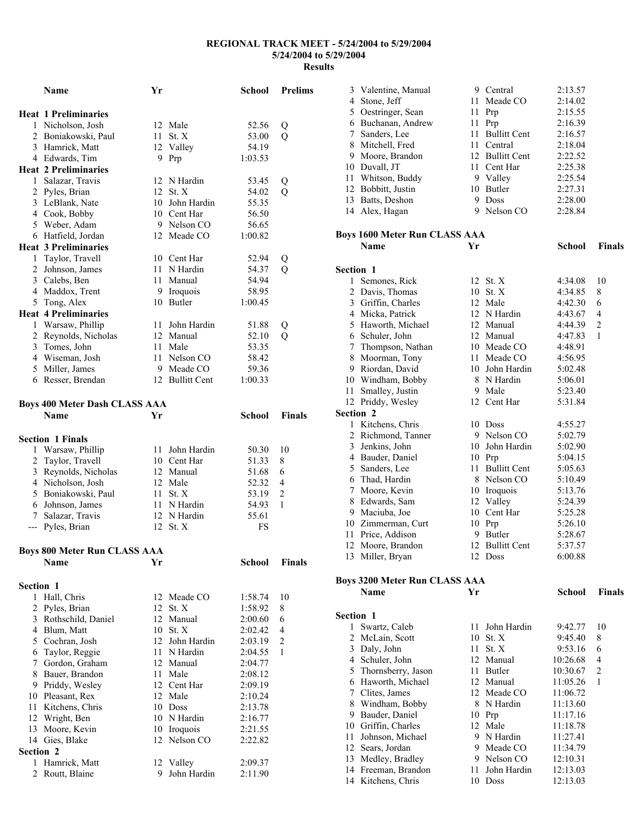|                  | Name                                 | Yr |                 | School  | <b>Prelims</b> |
|------------------|--------------------------------------|----|-----------------|---------|----------------|
|                  | <b>Heat 1 Preliminaries</b>          |    |                 |         |                |
|                  | 1 Nicholson, Josh                    |    | 12 Male         | 52.56   | Q              |
|                  | 2 Boniakowski, Paul                  | 11 | St. X           | 53.00   | Q              |
|                  | 3 Hamrick, Matt                      |    | 12 Valley       | 54.19   |                |
|                  | 4 Edwards, Tim                       | 9. | Prp             | 1:03.53 |                |
|                  | <b>Heat 2 Preliminaries</b>          |    |                 |         |                |
|                  | 1 Salazar, Travis                    |    | 12 N Hardin     | 53.45   | Q              |
|                  | 2 Pyles, Brian                       |    | 12 St. X        | 54.02   | Q              |
|                  | 3 LeBlank, Nate                      | 10 | John Hardin     | 55.35   |                |
|                  | 4 Cook, Bobby                        |    | 10 Cent Har     | 56.50   |                |
|                  | 5 Weber, Adam                        |    | 9 Nelson CO     | 56.65   |                |
|                  | 6 Hatfield, Jordan                   |    | 12 Meade CO     | 1:00.82 |                |
|                  | <b>Heat 3 Preliminaries</b>          |    |                 |         |                |
|                  | 1 Taylor, Travell                    |    | 10 Cent Har     | 52.94   | Q              |
|                  | 2 Johnson, James                     |    | 11 N Hardin     | 54.37   | Q              |
|                  | 3 Calebs, Ben                        |    | 11 Manual       | 54.94   |                |
|                  | 4 Maddox, Trent                      |    | 9 Iroquois      | 58.95   |                |
|                  | 5 Tong, Alex                         |    | 10 Butler       | 1:00.45 |                |
|                  | <b>Heat 4 Preliminaries</b>          |    |                 |         |                |
|                  | 1 Warsaw, Phillip                    | 11 | John Hardin     | 51.88   | Q              |
|                  | 2 Reynolds, Nicholas                 |    | 12 Manual       | 52.10   | Q              |
|                  | 3 Tomes, John                        | 11 | Male            | 53.35   |                |
|                  | 4 Wiseman, Josh                      | 11 | Nelson CO       | 58.42   |                |
|                  | 5 Miller, James                      |    | 9 Meade CO      | 59.36   |                |
|                  | 6 Resser, Brendan                    |    | 12 Bullitt Cent | 1:00.33 |                |
|                  | <b>Boys 400 Meter Dash CLASS AAA</b> |    |                 |         |                |
|                  | Name                                 | Yr |                 | School  | <b>Finals</b>  |
|                  |                                      |    |                 |         |                |
|                  | <b>Section 1 Finals</b>              |    |                 |         |                |
| 1                | Warsaw, Phillip                      | 11 | John Hardin     | 50.30   | 10             |
| $\overline{c}$   | Taylor, Travell                      |    | 10 Cent Har     | 51.33   | 8              |
|                  | 3 Reynolds, Nicholas                 |    | 12 Manual       | 51.68   | 6              |
|                  | 4 Nicholson, Josh                    |    | 12 Male         | 52.32   | 4              |
|                  | 5 Boniakowski, Paul                  |    | 11 St. X        | 53.19   | $\overline{2}$ |
|                  | 6 Johnson, James                     |    | 11 N Hardin     | 54.93   | 1              |
|                  | 7 Salazar, Travis                    |    | 12 N Hardin     | 55.61   |                |
|                  | --- Pyles, Brian                     |    | 12 St. X        | FS      |                |
|                  | <b>Boys 800 Meter Run CLASS AAA</b>  |    |                 |         |                |
|                  | Name                                 | Yr |                 | School  | <b>Finals</b>  |
| Section 1        |                                      |    |                 |         |                |
|                  | 1 Hall, Chris                        | 12 | Meade CO        | 1:58.74 | 10             |
| 2                | Pyles, Brian                         | 12 | St. X           | 1:58.92 | 8              |
|                  | 3 Rothschild, Daniel                 |    | 12 Manual       | 2:00.60 | 6              |
|                  | 4 Blum, Matt                         |    | 10 St. X        | 2:02.42 | 4              |
|                  | 5 Cochran, Josh                      | 12 | John Hardin     | 2:03.19 | 2              |
|                  | 6 Taylor, Reggie                     | 11 | N Hardin        | 2:04.55 | 1              |
|                  | 7 Gordon, Graham                     |    | 12 Manual       | 2:04.77 |                |
|                  | 8 Bauer, Brandon                     | 11 | Male            | 2:08.12 |                |
|                  | 9 Priddy, Wesley                     |    | 12 Cent Har     | 2:09.19 |                |
|                  | 10 Pleasant, Rex                     | 12 | Male            | 2:10.24 |                |
| 11               | Kitchens, Chris                      |    | 10 Doss         | 2:13.78 |                |
|                  | 12 Wright, Ben                       |    | 10 N Hardin     | 2:16.77 |                |
|                  | 13 Moore, Kevin                      |    | 10 Iroquois     | 2:21.55 |                |
|                  | 14 Gies, Blake                       | 12 | Nelson CO       | 2:22.82 |                |
| <b>Section 2</b> |                                      |    |                 |         |                |
| 1                | Hamrick, Matt                        |    | 12 Valley       | 2:09.37 |                |
| $\overline{2}$   | Routt, Blaine                        |    | 9 John Hardin   | 2:11.90 |                |

| 3                | Valentine, Manual                    | 9  | Central             | 2:13.57       |                |
|------------------|--------------------------------------|----|---------------------|---------------|----------------|
|                  | 4 Stone, Jeff                        |    | 11 Meade CO         | 2:14.02       |                |
|                  | 5 Oestringer, Sean                   | 11 | Prp                 | 2:15.55       |                |
|                  | 6 Buchanan, Andrew                   | 11 | Prp                 | 2:16.39       |                |
|                  | 7 Sanders, Lee                       | 11 | <b>Bullitt Cent</b> | 2:16.57       |                |
|                  | 8 Mitchell, Fred                     |    | 11 Central          | 2:18.04       |                |
|                  | 9 Moore, Brandon                     |    | 12 Bullitt Cent     | 2:22.52       |                |
|                  | 10 Duvall, JT                        |    | 11 Cent Har         | 2:25.38       |                |
|                  | 11 Whitson, Buddy                    |    | 9 Valley            | 2:25.54       |                |
|                  | 12 Bobbitt, Justin                   |    | 10 Butler           | 2:27.31       |                |
|                  | 13 Batts, Deshon                     |    | 9 Doss              | 2:28.00       |                |
|                  | 14 Alex, Hagan                       |    | 9 Nelson CO         | 2:28.84       |                |
|                  | <b>Boys 1600 Meter Run CLASS AAA</b> |    |                     |               |                |
|                  | Name                                 | Yr |                     | <b>School</b> | Finals         |
| <b>Section 1</b> |                                      |    |                     |               |                |
| 1                | Semones, Rick                        |    | 12 St. X            | 4:34.08       | 10             |
|                  | 2 Davis, Thomas                      |    | 10 St. X            | 4:34.85       | 8              |
|                  | 3 Griffin, Charles                   |    | 12 Male             | 4:42.30       | 6              |
|                  | 4 Micka, Patrick                     |    | 12 N Hardin         | 4:43.67       | 4              |
|                  | 5 Haworth, Michael                   |    | 12 Manual           | 4:44.39       | $\overline{2}$ |
|                  | 6 Schuler, John                      |    | 12 Manual           | 4:47.83       | 1              |
|                  | 7 Thompson, Nathan                   |    | 10 Meade CO         | 4:48.91       |                |
|                  | 8 Moorman, Tony                      |    | 11 Meade CO         | 4:56.95       |                |
|                  | 9 Riordan, David                     |    | 10 John Hardin      | 5:02.48       |                |
|                  | 10 Windham, Bobby                    |    | 8 N Hardin          | 5:06.01       |                |
|                  | 11 Smalley, Justin                   |    | 9 Male              | 5:23.40       |                |
|                  | 12 Priddy, Wesley                    |    | 12 Cent Har         | 5:31.84       |                |
| Section 2        |                                      |    |                     |               |                |
|                  | 1 Kitchens, Chris                    |    | 10 Doss             | 4:55.27       |                |
|                  | 2 Richmond, Tanner                   |    | 9 Nelson CO         | 5:02.79       |                |
|                  | 3 Jenkins, John                      |    | 10 John Hardin      | 5:02.90       |                |
|                  | 4 Bauder, Daniel                     |    | $10$ Prp            | 5:04.15       |                |
|                  | 5 Sanders, Lee                       | 11 | <b>Bullitt Cent</b> | 5:05.63       |                |
|                  | 6 Thad, Hardin                       |    | 8 Nelson CO         | 5:10.49       |                |
|                  | 7 Moore, Kevin                       |    | 10 Iroquois         | 5:13.76       |                |
|                  | 8 Edwards, Sam                       |    | 12 Valley           | 5:24.39       |                |
|                  | 9 Maciuba, Joe                       |    | 10 Cent Har         | 5:25.28       |                |
|                  | 10 Zimmerman, Curt                   |    | 10 Prp              | 5:26.10       |                |
|                  | 11 Price, Addison                    | 9. | <b>Butler</b>       | 5:28.67       |                |
| 12               | Moore, Brandon                       | 12 | <b>Bullitt Cent</b> | 5:37.57       |                |
|                  |                                      |    |                     |               |                |
|                  | 13 Miller, Bryan                     |    | 12 Doss             | 6:00.88       |                |
|                  | <b>Boys 3200 Meter Run CLASS AAA</b> |    |                     |               |                |
|                  | Name                                 | Yr |                     | <b>School</b> | <b>Finals</b>  |
| Section 1        |                                      |    |                     |               |                |
| 1                | Swartz, Caleb                        | 11 | John Hardin         | 9:42.77       | 10             |
|                  | 2 McLain, Scott                      | 10 | St. X               | 9:45.40       | 8              |
|                  | 3 Daly, John                         | 11 | St. X               | 9:53.16       | 6              |
|                  | 4 Schuler, John                      |    | 12 Manual           | 10:26.68      | $\overline{4}$ |
|                  | 5 Thornsberry, Jason                 |    | 11 Butler           | 10:30.67      | $\overline{c}$ |
|                  | 6 Haworth, Michael                   |    | 12 Manual           | 11:05.26      | 1              |
|                  | 7 Clites, James                      |    | 12 Meade CO         | 11:06.72      |                |
|                  | 8 Windham, Bobby                     |    | 8 N Hardin          | 11:13.60      |                |
|                  | 9 Bauder, Daniel                     | 10 | Prp                 | 11:17.16      |                |
|                  | 10 Griffin, Charles                  | 12 | Male                | 11:18.78      |                |
|                  | 11 Johnson, Michael                  |    | 9 N Hardin          | 11:27.41      |                |
|                  | 12 Sears, Jordan                     |    | 9 Meade CO          | 11:34.79      |                |
|                  | 13 Medley, Bradley                   |    | 9 Nelson CO         | 12:10.31      |                |
|                  |                                      |    |                     |               |                |
|                  | 14 Freeman, Brandon                  | 11 | John Hardin         | 12:13.03      |                |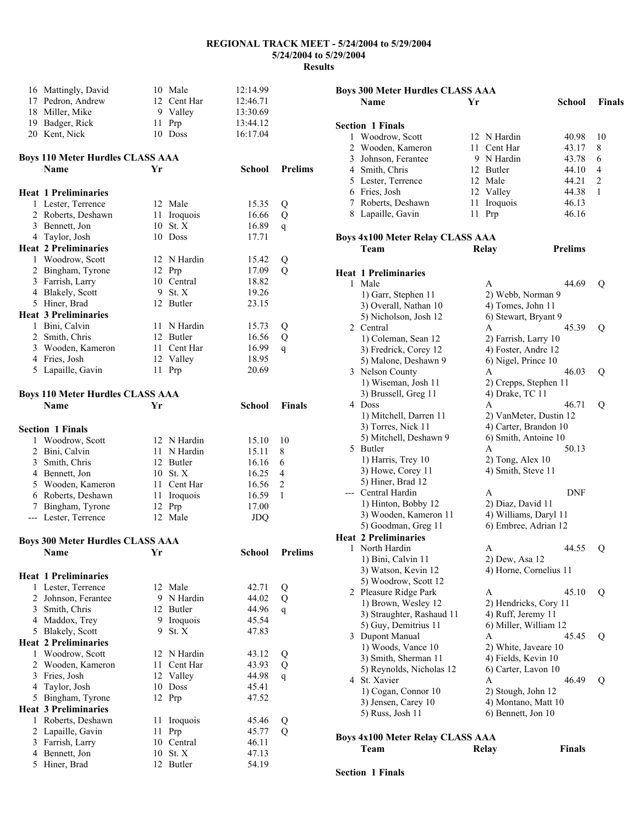| 16 Mattingly, David                              |      | 10 Male               | 12:14.99       |                |
|--------------------------------------------------|------|-----------------------|----------------|----------------|
| 17 Pedron, Andrew                                |      | 12 Cent Har           | 12:46.71       |                |
|                                                  |      |                       |                |                |
| 18 Miller, Mike                                  |      | 9 Valley              | 13:30.69       |                |
| 19 Badger, Rick                                  |      | 11 Prp                | 13:44.12       |                |
| 20 Kent, Nick                                    |      | 10 Doss               | 16:17.04       |                |
| <b>Boys 110 Meter Hurdles CLASS AAA</b>          |      |                       |                |                |
| <b>Name</b>                                      | Yr   |                       | <b>School</b>  | <b>Prelims</b> |
|                                                  |      |                       |                |                |
| <b>Heat 1 Preliminaries</b>                      |      |                       |                |                |
| 1 Lester, Terrence                               |      | 12 Male               | 15.35          | Q              |
| 2 Roberts, Deshawn                               |      | 11 Iroquois           | 16.66          | Q              |
| 3 Bennett, Jon                                   |      | 10 St. X              | 16.89          | q              |
| 4 Taylor, Josh                                   |      | 10 Doss               | 17.71          |                |
| <b>Heat 2 Preliminaries</b>                      |      |                       |                |                |
| 1 Woodrow, Scott                                 |      | 12 N Hardin           | 15.42          | Q              |
| 2 Bingham, Tyrone                                |      | 12 Prp                | 17.09          | Q              |
| 3 Farrish, Larry                                 |      | 10 Central            | 18.82          |                |
| 4 Blakely, Scott                                 |      | 9 St. X               | 19.26          |                |
| 5 Hiner, Brad                                    |      | 12 Butler             | 23.15          |                |
| <b>Heat 3 Preliminaries</b>                      |      |                       |                |                |
|                                                  |      |                       |                |                |
| 1 Bini, Calvin                                   |      | 11 N Hardin           | 15.73          | Q              |
| 2 Smith, Chris                                   |      | 12 Butler             | 16.56          | Q              |
| 3 Wooden, Kameron                                |      | 11 Cent Har           | 16.99          | $\mathbf{q}$   |
| 4 Fries, Josh                                    |      | 12 Valley             | 18.95          |                |
| 5 Lapaille, Gavin                                | 11   | Prp                   | 20.69          |                |
| <b>Boys 110 Meter Hurdles CLASS AAA</b>          |      |                       |                |                |
| <b>Name</b>                                      | Yr   |                       | <b>School</b>  | Finals         |
|                                                  |      |                       |                |                |
| <b>Section 1 Finals</b>                          |      |                       |                |                |
| 1 Woodrow, Scott                                 |      | 12 N Hardin           | 15.10          | 10             |
| 2 Bini, Calvin                                   |      | 11 N Hardin           | 15.11          | 8              |
| 3 Smith, Chris                                   |      | 12 Butler             | 16.16          | 6              |
| 4 Bennett, Jon                                   |      | 10 St. X              | 16.25          | 4              |
| 5 Wooden, Kameron                                |      | 11 Cent Har           | 16.56          | $\overline{2}$ |
| 6 Roberts, Deshawn                               | 11   | Iroquois              | 16.59          | 1              |
| 7 Bingham, Tyrone                                |      | 12 Prp                | 17.00          |                |
| --- Lester, Terrence                             |      | 12 Male               | JDQ            |                |
|                                                  |      |                       |                |                |
| <b>Boys 300 Meter Hurdles CLASS AAA</b>          |      |                       |                |                |
| Name                                             | Yr   |                       | <b>School</b>  | <b>Prelims</b> |
| <b>Heat 1 Preliminaries</b>                      |      |                       |                |                |
| 1 Lester, Terrence                               |      | 12 Male               | 42.71          | Q              |
| 2 Johnson, Ferantee                              |      | 9 N Hardin            | 44.02          | Q              |
| 3 Smith, Chris                                   |      | 12 Butler             | 44.96          | $\mathbf{q}$   |
| 4 Maddox, Trey                                   |      | 9 Iroquois            | 45.54          |                |
| 5 Blakely, Scott                                 | 9.   | St. X                 | 47.83          |                |
| <b>Heat 2 Preliminaries</b>                      |      |                       |                |                |
| 1 Woodrow, Scott                                 |      | 12 N Hardin           | 43.12          | Q              |
| 2 Wooden, Kameron                                | 11 - | Cent Har              | 43.93          | Q              |
| 3 Fries, Josh                                    |      | 12 Valley             | 44.98          |                |
|                                                  |      | 10 Doss               |                | q              |
| 4 Taylor, Josh                                   |      | 12 Prp                | 45.41          |                |
| 5 Bingham, Tyrone<br><b>Heat 3 Preliminaries</b> |      |                       | 47.52          |                |
| 1 Roberts, Deshawn                               |      |                       |                |                |
|                                                  | 11   | Iroquois              | 45.46          | Q              |
|                                                  |      |                       |                |                |
| 2 Lapaille, Gavin                                | 11   | Prp                   | 45.77          | Q              |
| 3 Farrish, Larry                                 |      | 10 Central            | 46.11          |                |
| 4 Bennett, Jon<br>5 Hiner, Brad                  |      | 10 St. X<br>12 Butler | 47.13<br>54.19 |                |

| <b>Boys 300 Meter Hurdles CLASS AAA</b> |                                         |      |                        |                |                |
|-----------------------------------------|-----------------------------------------|------|------------------------|----------------|----------------|
|                                         | Name                                    | Yr   |                        | School         | <b>Finals</b>  |
|                                         |                                         |      |                        |                |                |
|                                         | <b>Section 1 Finals</b>                 |      |                        |                |                |
| 1                                       | Woodrow, Scott                          |      | 12 N Hardin            | 40.98          | 10             |
| 2                                       | Wooden, Kameron                         |      | 11 Cent Har            | 43.17          | 8              |
|                                         | 3 Johnson, Ferantee                     |      | 9 N Hardin             | 43.78          | 6              |
|                                         | 4 Smith, Chris                          |      | 12 Butler              | 44.10          | 4              |
|                                         | 5 Lester, Terrence                      |      | 12 Male                | 44.21          | $\overline{c}$ |
|                                         | 6 Fries, Josh                           |      | 12 Valley              | 44.38          | 1              |
|                                         | 7 Roberts, Deshawn                      | 11   | Iroquois               | 46.13          |                |
|                                         | 8 Lapaille, Gavin                       | 11 - | Prp                    | 46.16          |                |
|                                         |                                         |      |                        |                |                |
|                                         | <b>Boys 4x100 Meter Relay CLASS AAA</b> |      |                        | <b>Prelims</b> |                |
|                                         | Team                                    |      | <b>Relay</b>           |                |                |
|                                         | <b>Heat 1 Preliminaries</b>             |      |                        |                |                |
| 1                                       | Male                                    |      | A                      | 44.69          | Q              |
|                                         | 1) Garr, Stephen 11                     |      | 2) Webb, Norman 9      |                |                |
|                                         | 3) Overall, Nathan 10                   |      | 4) Tomes, John 11      |                |                |
|                                         | 5) Nicholson, Josh 12                   |      | 6) Stewart, Bryant 9   |                |                |
|                                         | 2 Central                               |      | A                      | 45.39          | Q              |
|                                         | 1) Coleman, Sean 12                     |      | 2) Farrish, Larry 10   |                |                |
|                                         | 3) Fredrick, Corey 12                   |      | 4) Foster, Andre 12    |                |                |
|                                         | 5) Malone, Deshawn 9                    |      | 6) Nigel, Prince 10    |                |                |
|                                         | 3 Nelson County                         |      | A                      | 46.03          | Q              |
|                                         | 1) Wiseman, Josh 11                     |      | 2) Crepps, Stephen 11  |                |                |
|                                         | 3) Brussell, Greg 11                    |      | 4) Drake, TC 11        |                |                |
|                                         | 4 Doss                                  |      | A                      | 46.71          | Q              |
|                                         | 1) Mitchell, Darren 11                  |      | 2) VanMeter, Dustin 12 |                |                |
|                                         | 3) Torres, Nick 11                      |      | 4) Carter, Brandon 10  |                |                |
|                                         | 5) Mitchell, Deshawn 9                  |      | 6) Smith, Antoine 10   |                |                |
|                                         | 5 Butler                                |      | Α                      | 50.13          |                |
|                                         | 1) Harris, Trey 10                      |      | $2)$ Tong, Alex 10     |                |                |
|                                         | 3) Howe, Corey 11                       |      | 4) Smith, Steve 11     |                |                |
|                                         | 5) Hiner, Brad 12                       |      |                        |                |                |
|                                         | --- Central Hardin                      |      | A                      | DNF            |                |
|                                         | 1) Hinton, Bobby 12                     |      | 2) Diaz, David 11      |                |                |
|                                         | 3) Wooden, Kameron 11                   |      | 4) Williams, Daryl 11  |                |                |
|                                         | 5) Goodman, Greg 11                     |      | 6) Embree, Adrian 12   |                |                |
|                                         | <b>Heat 2 Preliminaries</b>             |      |                        |                |                |
|                                         | 1 North Hardin                          |      | A                      | 44.55          | Q              |
|                                         | 1) Bini, Calvin 11                      |      | 2) Dew, Asa 12         |                |                |
|                                         | 3) Watson, Kevin 12                     |      | 4) Horne, Cornelius 11 |                |                |
|                                         | 5) Woodrow, Scott 12                    |      |                        |                |                |
|                                         | 2 Pleasure Ridge Park                   |      | A                      | 45.10          | Q              |
|                                         | 1) Brown, Wesley 12                     |      | 2) Hendricks, Cory 11  |                |                |
|                                         | 3) Straughter, Rashaud 11               |      | 4) Ruff, Jeremy 11     |                |                |
|                                         | 5) Guy, Demitrius 11                    |      | 6) Miller, William 12  |                |                |
|                                         | 3 Dupont Manual                         |      | А                      | 45.45          | Q              |
|                                         | 1) Woods, Vance 10                      |      | 2) White, Javeare 10   |                |                |
|                                         | 3) Smith, Sherman 11                    |      | 4) Fields, Kevin 10    |                |                |
|                                         | 5) Reynolds, Nicholas 12                |      | 6) Carter, Lavon 10    |                |                |
|                                         | 4 St. Xavier                            |      | Α                      | 46.49          | Q              |
|                                         | 1) Cogan, Connor 10                     |      | 2) Stough, John 12     |                |                |
|                                         | 3) Jensen, Carey 10                     |      | 4) Montano, Matt 10    |                |                |
|                                         | 5) Russ, Josh 11                        |      | 6) Bennett, Jon 10     |                |                |
|                                         |                                         |      |                        |                |                |
|                                         | Boys 4x100 Meter Relay CLASS AAA        |      |                        |                |                |
|                                         | Team                                    |      | Relay                  | <b>Finals</b>  |                |
|                                         |                                         |      |                        |                |                |

**Section 1 Finals**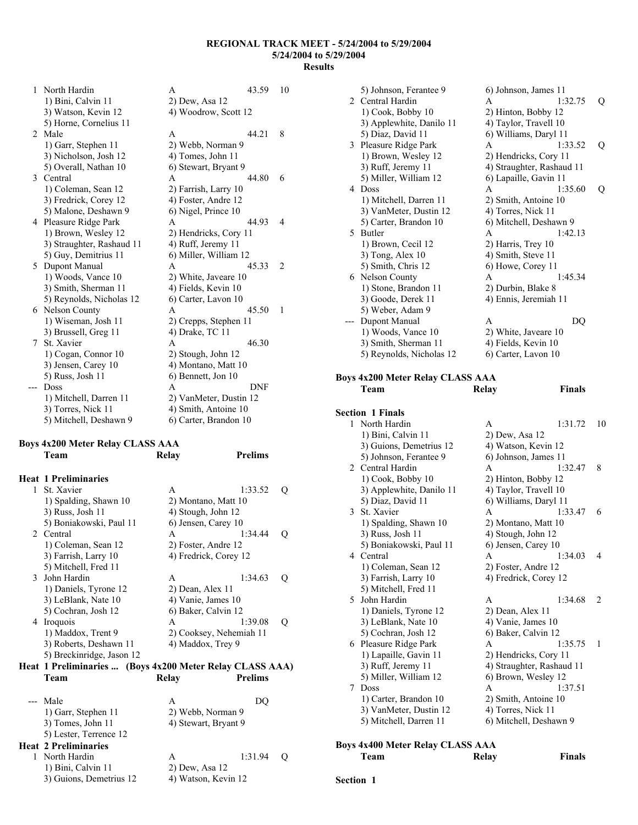| 1 | North Hardin              | A                      | 43.59 | 10             |
|---|---------------------------|------------------------|-------|----------------|
|   | 1) Bini, Calvin 11        | 2) Dew, Asa 12         |       |                |
|   | 3) Watson, Kevin 12       | 4) Woodrow, Scott 12   |       |                |
|   | 5) Horne, Cornelius 11    |                        |       |                |
| 2 | Male                      | A                      | 44.21 | 8              |
|   | 1) Garr, Stephen 11       | 2) Webb, Norman 9      |       |                |
|   | 3) Nicholson, Josh 12     | 4) Tomes, John 11      |       |                |
|   | 5) Overall, Nathan 10     | 6) Stewart, Bryant 9   |       |                |
| 3 | Central                   | A                      | 44.80 | 6              |
|   | 1) Coleman, Sean 12       | 2) Farrish, Larry 10   |       |                |
|   | 3) Fredrick, Corey 12     | 4) Foster, Andre 12    |       |                |
|   | 5) Malone, Deshawn 9      | 6) Nigel, Prince 10    |       |                |
| 4 | Pleasure Ridge Park       | A                      | 44.93 | 4              |
|   | 1) Brown, Wesley 12       | 2) Hendricks, Cory 11  |       |                |
|   | 3) Straughter, Rashaud 11 | 4) Ruff, Jeremy 11     |       |                |
|   | 5) Guy, Demitrius 11      | 6) Miller, William 12  |       |                |
| 5 | Dupont Manual             | A                      | 45.33 | $\overline{2}$ |
|   | 1) Woods, Vance 10        | 2) White, Javeare 10   |       |                |
|   | 3) Smith, Sherman 11      | 4) Fields, Kevin 10    |       |                |
|   | 5) Reynolds, Nicholas 12  | 6) Carter, Lavon 10    |       |                |
| 6 | Nelson County             | A                      | 45.50 | 1              |
|   | 1) Wiseman, Josh 11       | 2) Crepps, Stephen 11  |       |                |
|   | 3) Brussell, Greg 11      | 4) Drake, TC 11        |       |                |
| 7 | St. Xavier                | A                      | 46.30 |                |
|   | 1) Cogan, Connor 10       | 2) Stough, John 12     |       |                |
|   | 3) Jensen, Carey 10       | 4) Montano, Matt 10    |       |                |
|   | 5) Russ, Josh 11          | 6) Bennett, Jon 10     |       |                |
|   | <b>Doss</b>               | A                      | DNF   |                |
|   | 1) Mitchell, Darren 11    | 2) VanMeter, Dustin 12 |       |                |
|   | 3) Torres, Nick 11        | 4) Smith, Antoine 10   |       |                |
|   | 5) Mitchell, Deshawn 9    | 6) Carter, Brandon 10  |       |                |

# **Boys 4x200 Meter Relay CLASS AAA**

|               | Team                                                     | Relay                | <b>Prelims</b>          |   |
|---------------|----------------------------------------------------------|----------------------|-------------------------|---|
|               | <b>Heat 1 Preliminaries</b>                              |                      |                         |   |
| 1             | St. Xavier                                               | A                    | 1:33.52                 | O |
|               | 1) Spalding, Shawn 10                                    |                      | 2) Montano, Matt 10     |   |
|               | 3) Russ, Josh 11                                         | 4) Stough, John 12   |                         |   |
|               | 5) Boniakowski, Paul 11                                  | 6) Jensen, Carey 10  |                         |   |
|               | 2 Central                                                | A                    | 1:34.44                 | Q |
|               | 1) Coleman, Sean 12                                      | 2) Foster, Andre 12  |                         |   |
|               | 3) Farrish, Larry 10                                     |                      | 4) Fredrick, Corey 12   |   |
|               | 5) Mitchell, Fred 11                                     |                      |                         |   |
| $\mathcal{E}$ | John Hardin                                              | $\mathsf{A}$         | 1:34.63                 | О |
|               | 1) Daniels, Tyrone 12                                    | 2) Dean, Alex 11     |                         |   |
|               | 3) LeBlank, Nate 10                                      | 4) Vanie, James 10   |                         |   |
|               | 5) Cochran, Josh 12                                      | 6) Baker, Calvin 12  |                         |   |
|               | 4 Iroquois                                               | A                    | 1:39.08                 | Q |
|               | 1) Maddox, Trent 9                                       |                      | 2) Cooksey, Nehemiah 11 |   |
|               | 3) Roberts, Deshawn 11                                   | 4) Maddox, Trey 9    |                         |   |
|               | 5) Breckinridge, Jason 12                                |                      |                         |   |
|               | Heat 1 Preliminaries  (Boys 4x200 Meter Relay CLASS AAA) |                      |                         |   |
|               | Team                                                     | <b>Relay</b>         | <b>Prelims</b>          |   |
| ---           | Male                                                     | A                    | DQ                      |   |
|               | 1) Garr, Stephen 11                                      | 2) Webb, Norman 9    |                         |   |
|               | 3) Tomes, John 11                                        | 4) Stewart, Bryant 9 |                         |   |
|               | 5) Lester, Terrence 12                                   |                      |                         |   |
|               | <b>Heat 2 Preliminaries</b>                              |                      |                         |   |
| 1             | North Hardin                                             | А                    | 1:31.94                 | O |

|             | 5) Johnson, Ferantee 9   | 6) Johnson, James 11      |         |   |
|-------------|--------------------------|---------------------------|---------|---|
| $2^{\circ}$ | Central Hardin           | A                         | 1:32.75 | Q |
|             | 1) Cook, Bobby 10        | 2) Hinton, Bobby 12       |         |   |
|             | 3) Applewhite, Danilo 11 | 4) Taylor, Travell 10     |         |   |
|             | 5) Diaz, David 11        | 6) Williams, Daryl 11     |         |   |
| 3           | Pleasure Ridge Park      | A                         | 1:33.52 | Q |
|             | 1) Brown, Wesley 12      | 2) Hendricks, Cory 11     |         |   |
|             | 3) Ruff, Jeremy 11       | 4) Straughter, Rashaud 11 |         |   |
|             | 5) Miller, William 12    | 6) Lapaille, Gavin 11     |         |   |
| 4           | <b>Doss</b>              | A                         | 1:35.60 | Q |
|             | 1) Mitchell, Darren 11   | 2) Smith, Antoine 10      |         |   |
|             | 3) VanMeter, Dustin 12   | 4) Torres, Nick 11        |         |   |
|             | 5) Carter, Brandon 10    | 6) Mitchell, Deshawn 9    |         |   |
| 5.          | Butler                   | A                         | 1:42.13 |   |
|             | 1) Brown, Cecil 12       | 2) Harris, Trey 10        |         |   |
|             | $3)$ Tong, Alex 10       | 4) Smith, Steve 11        |         |   |
|             | 5) Smith, Chris 12       | 6) Howe, Corey 11         |         |   |
| 6           | Nelson County            | A                         | 1:45.34 |   |
|             | 1) Stone, Brandon 11     | 2) Durbin, Blake 8        |         |   |
|             | 3) Goode, Derek 11       | 4) Ennis, Jeremiah 11     |         |   |
|             | 5) Weber, Adam 9         |                           |         |   |
|             | Dupont Manual            | A                         | DQ      |   |
|             | 1) Woods, Vance 10       | 2) White, Javeare 10      |         |   |
|             | 3) Smith, Sherman 11     | 4) Fields, Kevin 10       |         |   |
|             | 5) Reynolds, Nicholas 12 | 6) Carter, Lavon 10       |         |   |

#### **Boys 4x200 Meter Relay CLASS AAA Team Relay Finals**

|   | <b>Section 1 Finals</b>  |                           |         |                |
|---|--------------------------|---------------------------|---------|----------------|
|   | 1 North Hardin           | A                         | 1:31.72 | 10             |
|   | 1) Bini, Calvin 11       | 2) Dew, Asa 12            |         |                |
|   | 3) Guions, Demetrius 12  | 4) Watson, Kevin 12       |         |                |
|   | 5) Johnson, Ferantee 9   | 6) Johnson, James 11      |         |                |
|   | 2 Central Hardin         | A                         | 1:32.47 | 8              |
|   | 1) Cook, Bobby 10        | 2) Hinton, Bobby 12       |         |                |
|   | 3) Applewhite, Danilo 11 | 4) Taylor, Travell 10     |         |                |
|   | 5) Diaz, David 11        | 6) Williams, Daryl 11     |         |                |
|   | 3 St. Xavier             | A                         | 1:33.47 | 6              |
|   | 1) Spalding, Shawn 10    | 2) Montano, Matt 10       |         |                |
|   | 3) Russ, Josh 11         | 4) Stough, John 12        |         |                |
|   | 5) Boniakowski, Paul 11  | 6) Jensen, Carey 10       |         |                |
|   | 4 Central                | A                         | 1:34.03 | 4              |
|   | 1) Coleman, Sean 12      | 2) Foster, Andre 12       |         |                |
|   | 3) Farrish, Larry 10     | 4) Fredrick, Corey 12     |         |                |
|   | 5) Mitchell, Fred 11     |                           |         |                |
|   | 5 John Hardin            | A                         | 1:34.68 | $\overline{c}$ |
|   | 1) Daniels, Tyrone 12    | 2) Dean, Alex 11          |         |                |
|   | 3) LeBlank, Nate 10      | 4) Vanie, James 10        |         |                |
|   | 5) Cochran, Josh 12      | 6) Baker, Calvin 12       |         |                |
|   | 6 Pleasure Ridge Park    | A                         | 1:35.75 | 1              |
|   | 1) Lapaille, Gavin 11    | 2) Hendricks, Cory 11     |         |                |
|   | 3) Ruff, Jeremy 11       | 4) Straughter, Rashaud 11 |         |                |
|   | 5) Miller, William 12    | 6) Brown, Wesley 12       |         |                |
| 7 | Doss                     | A                         | 1:37.51 |                |
|   | 1) Carter, Brandon 10    | 2) Smith, Antoine 10      |         |                |
|   | 3) VanMeter, Dustin 12   | 4) Torres, Nick 11        |         |                |
|   | 5) Mitchell, Darren 11   | 6) Mitchell, Deshawn 9    |         |                |
|   |                          |                           |         |                |

## **Boys 4x400 Meter Relay CLASS AAA**

| Team | Relay | <b>Finals</b> |
|------|-------|---------------|
|      |       |               |

## 1) Bini, Calvin 11 2) Dew, Asa 12<br>3) Guions, Demetrius 12 4) Watson, Kevin 12 3) Guions, Demetrius 12

## **Section 1**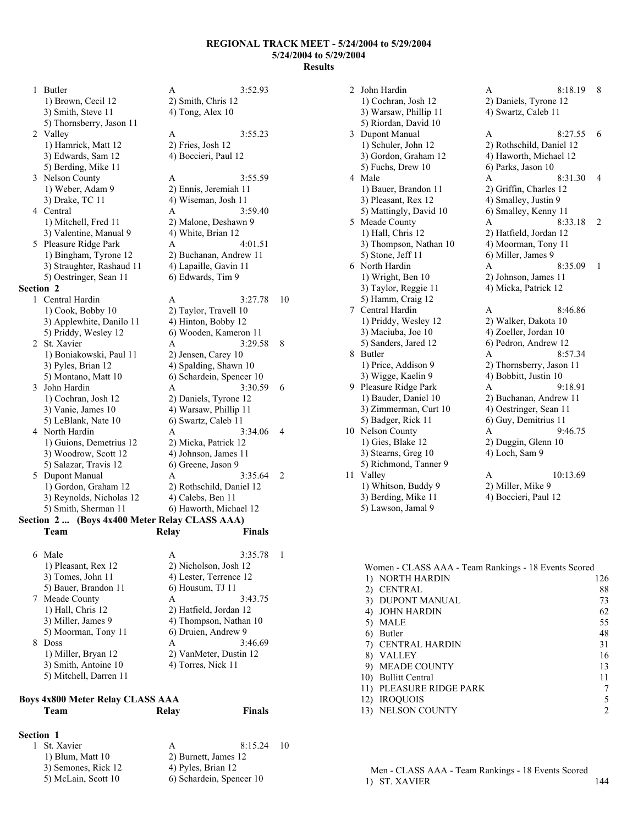1 Butler A 3:52.93 1) Brown, Cecil 12 2) Smith, Chris 12  $3)$  Smith, Steve 11  $\qquad \qquad$  4) Tong, Alex 10 5) Thornsberry, Jason 11 2 Valley A 3:55.23 1) Hamrick, Matt 12 2) Fries, Josh 12 3) Edwards, Sam 12 4) Boccieri, Paul 12 5) Berding, Mike 11 3 Nelson County A 3:55.59 1) Weber, Adam 9 2) Ennis, Jeremiah 11 3) Drake, TC 11 4) Wiseman, Josh 11 4 Central A 3:59.40 1) Mitchell, Fred 11 2) Malone, Deshawn 9 3) Valentine, Manual 9 4) White, Brian 12 5 Pleasure Ridge Park A 4:01.51 1) Bingham, Tyrone 12 2) Buchanan, Andrew 11 3) Straughter, Rashaud 11 4) Lapaille, Gavin 11 5) Oestringer, Sean 11 6) Edwards, Tim 9 **Section 2**  1 Central Hardin A 3:27.78 10 1) Cook, Bobby 10 2) Taylor, Travell 10 3) Applewhite, Danilo 11 4) Hinton, Bobby 12 5) Priddy, Wesley 12 6) Wooden, Kameron 11 2 St. Xavier A 3:29.58 8 1) Boniakowski, Paul 11 2) Jensen, Carey 10 3) Pyles, Brian 12 4) Spalding, Shawn 10 5) Montano, Matt 10 6) Schardein, Spencer 10 3 John Hardin A 3:30.59 6 1) Cochran, Josh 12 2) Daniels, Tyrone 12 3) Vanie, James 10 4) Warsaw, Phillip 11 5) LeBlank, Nate 10 6) Swartz, Caleb 11 4 North Hardin A 3:34.06 4 1) Guions, Demetrius 12 2) Micka, Patrick 12 3) Woodrow, Scott 12 4) Johnson, James 11 5) Salazar, Travis 12 6) Greene, Jason 9 5 Dupont Manual A 3:35.64 2 1) Gordon, Graham 12 2) Rothschild, Daniel 12 3) Reynolds, Nicholas 12 4) Calebs, Ben 11 5) Smith, Sherman 11 6) Haworth, Michael 12 **Section 2 ... (Boys 4x400 Meter Relay CLASS AAA) Team Relay Finals** 

| 6 | Male                   | А                      | 3:35.78                |  |
|---|------------------------|------------------------|------------------------|--|
|   | 1) Pleasant, Rex 12    | 2) Nicholson, Josh 12  |                        |  |
|   | 3) Tomes, John 11      | 4) Lester, Terrence 12 |                        |  |
|   | 5) Bauer, Brandon 11   | $6)$ Housum, TJ 11     |                        |  |
|   | 7 Meade County         | A                      | 3:43.75                |  |
|   | 1) Hall, Chris 12      | 2) Hatfield, Jordan 12 |                        |  |
|   | 3) Miller, James 9     |                        | 4) Thompson, Nathan 10 |  |
|   | 5) Moorman, Tony 11    | 6) Druien, Andrew 9    |                        |  |
| 8 | Doss                   | А                      | 3:46.69                |  |
|   | 1) Miller, Bryan 12    |                        | 2) VanMeter, Dustin 12 |  |
|   | 3) Smith, Antoine 10   | 4) Torres, Nick 11     |                        |  |
|   | 5) Mitchell, Darren 11 |                        |                        |  |

## **Boys 4x800 Meter Relay CLASS AAA Team Relay Finals**

| <b>Section 1</b> |                     |                    |                          |      |  |  |
|------------------|---------------------|--------------------|--------------------------|------|--|--|
| 1 St. Xavier     |                     | A                  | 8:15.24                  | - 10 |  |  |
|                  | 1) Blum, Matt $10$  |                    | 2) Burnett, James 12     |      |  |  |
|                  | 3) Semones, Rick 12 | 4) Pyles, Brian 12 |                          |      |  |  |
|                  | 5) McLain, Scott 10 |                    | 6) Schardein, Spencer 10 |      |  |  |

2 John Hardin A 8:18.19 8 1) Cochran, Josh 12 2) Daniels, Tyrone 12 3) Warsaw, Phillip 11 4) Swartz, Caleb 11 5) Riordan, David 10 3 Dupont Manual A 8:27.55 6 1) Schuler, John 12 2) Rothschild, Daniel 12 3) Gordon, Graham 12 4) Haworth, Michael 12 5) Fuchs, Drew 10 6) Parks, Jason 10 4 Male A 8:31.30 4 1) Bauer, Brandon 11 2) Griffin, Charles 12 3) Pleasant, Rex 12 4) Smalley, Justin 9 5) Mattingly, David 10 6) Smalley, Kenny 11 5 Meade County A 8:33.18 2 1) Hall, Chris 12 2) Hatfield, Jordan 12 3) Thompson, Nathan 10 4) Moorman, Tony 11 5) Stone, Jeff 11 6) Miller, James 9 6 North Hardin A 8:35.09 1 1) Wright, Ben 10 2) Johnson, James 11 3) Taylor, Reggie 11 4) Micka, Patrick 12 5) Hamm, Craig 12 7 Central Hardin A 8:46.86 1) Priddy, Wesley 12 2) Walker, Dakota 10 3) Maciuba, Joe 10 4) Zoeller, Jordan 10 5) Sanders, Jared 12 6) Pedron, Andrew 12 8 Butler A 8:57.34 1) Price, Addison 9 2) Thornsberry, Jason 11 3) Wigge, Kaelin 9 4) Bobbitt, Justin 10 9 Pleasure Ridge Park A 9:18.91 1) Bauder, Daniel 10 2) Buchanan, Andrew 11 3) Zimmerman, Curt 10 4) Oestringer, Sean 11 5) Badger, Rick 11 6) Guy, Demitrius 11 10 Nelson County A 9:46.75 1) Gies, Blake 12 2) Duggin, Glenn 10 3) Stearns, Greg 10 4) Loch, Sam 9 5) Richmond, Tanner 9 11 Valley A 10:13.69 1) Whitson, Buddy 9 2) Miller, Mike 9 3) Berding, Mike 11 4) Boccieri, Paul 12 5) Lawson, Jamal 9

|     | Women - CLASS AAA - Team Rankings - 18 Events Scored |     |  |  |  |
|-----|------------------------------------------------------|-----|--|--|--|
|     | 1) NORTH HARDIN                                      | 126 |  |  |  |
| 2)  | <b>CENTRAL</b>                                       | 88  |  |  |  |
|     | 3) DUPONT MANUAL                                     | 73  |  |  |  |
| 4)  | JOHN HARDIN                                          | 62  |  |  |  |
| 5)  | MALE                                                 | 55  |  |  |  |
| 6)  | Butler                                               | 48  |  |  |  |
|     | 7) CENTRAL HARDIN                                    | 31  |  |  |  |
| 8). | <b>VALLEY</b>                                        | 16  |  |  |  |
|     | 9) MEADE COUNTY                                      | 13  |  |  |  |
|     | 10) Bullitt Central                                  | 11  |  |  |  |
|     | 11) PLEASURE RIDGE PARK                              |     |  |  |  |
| 12) | <b>IROQUOIS</b>                                      |     |  |  |  |
|     | 13) NELSON COUNTY                                    |     |  |  |  |

Men - CLASS AAA - Team Rankings - 18 Events Scored 1) ST. XAVIER 144